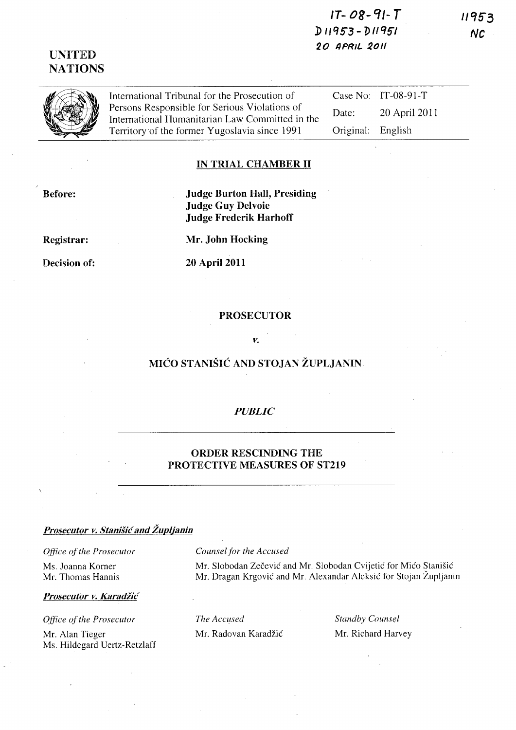# $17 - 08 - 91 - T$ D11953-D11951 20 APRIL 2011

# **UNITED NATIONS**

| International Tribunal for the Prosecution of                                                    |                   | Case No: $IT-08-91-T$ |
|--------------------------------------------------------------------------------------------------|-------------------|-----------------------|
| Persons Responsible for Serious Violations of<br>International Humanitarian Law Committed in the | Date:             | 20 April 2011         |
| Territory of the former Yugoslavia since 1991                                                    | Original: English |                       |

### **IN TRIAL CHAMBER II**

**Before:** 

## **Judge Burton Hall, Presiding Judge Guy Delvoie Judge Frederik Harhoff**

Registrar:

Mr. John Hocking

Decision of:

**20 April 2011** 

#### **PROSECUTOR**

### V.

# MIĆO STANIŠIĆ AND STOJAN ŽUPLJANIN

### **PUBLIC**

### **ORDER RESCINDING THE** PROTECTIVE MEASURES OF ST219

## Prosecutor v. Stanišić and Župljanin

### Office of the Prosecutor

Ms. Joanna Korner Mr. Thomas Hannis

Prosecutor v. Karadžić

Office of the Prosecutor

Mr. Alan Tieger Ms. Hildegard Uertz-Retzlaff

#### Counsel for the Accused

Mr. Slobodan Zečević and Mr. Slobodan Cvijetić for Mićo Stanišić Mr. Dragan Krgović and Mr. Alexandar Aleksić for Stojan Župljanin

The Accused Mr. Radovan Karadžić **Standby Counsel** Mr. Richard Harvey 11953  $NC$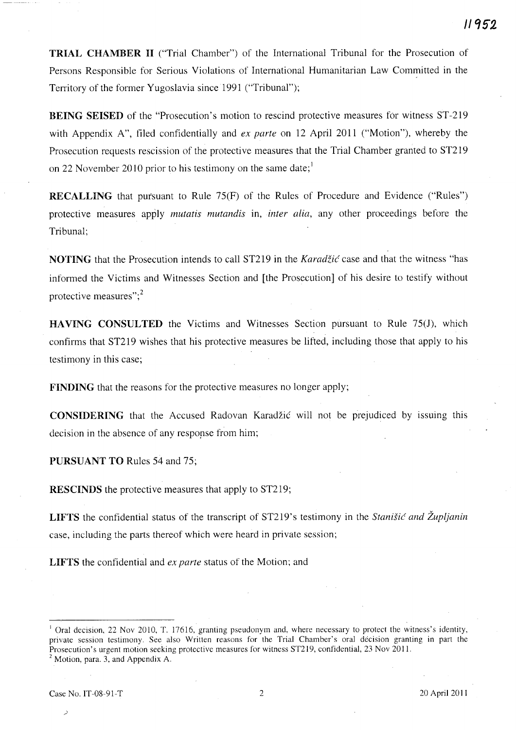**TRIAL CHAMBER II** ("Trial Chamber") of the International Tribunal for the Prosecution of Persons Responsible for Serious Violations of International Humanitarian Law Committed in the Territory of the former Yugoslavia since 1991 ("Tribunal");

**BEING SEISED** of the "Prosecution's motion to rescind protective measures for witness ST-219 with Appendix *A",* filed confidentially and *ex parte* on 12 April 2011 ("Motion"), whereby the Prosecution requests rescission of the protective measures that the Trial Chamber granted to ST219 on 22 November 2010 prior to his testimony on the same date;  $\overline{ }$ 

**RECALLING** that pursuant to Rule 75(F) of the Rules of Procedure and Evidence ("Rules") protective measures apply *mutatis mutandis* in, *inter alia,* any other proceedings before the Tribunal;

**NOTING** that the Prosecution intends to call ST219 in the *Karadžić* case and that the witness "has informed the Victims and Witnesses Section and [the Prosecution] of his desire to testify without protective measures" $:$ <sup>2</sup>

**HAVING CONSULTED** the Victims and Witnesses Section pursuant to Rule 75(J), which confirms that ST219 wishes that his protective measures be lifted, including those that apply to his testimony in this case;

**FINDING** that the reasons for the protective measures no longer apply;

**CONSIDERING** that the Accused Radovan Karadžić will not be prejudiced by issuing this decision in the absence of any resporse from him;

**PURSUANT TO** Rules 54 and 75;

**RESCINDS** the protective measures that apply to ST219;

**LIFTS** the confidential status of the transcript of ST219's testimony in the *Stanistic and Zupljanin* case, including the parts thereof which were heard in private session;

**LIFTS** the confidential and *ex parte* status of the Motion; and

 $\rightarrow$ 

<sup>&</sup>lt;sup>1</sup> Oral decision, 22 Nov 2010, T. 17616, granting pseudonym and, where necessary to protect the witness's identity, private session testimony. See also Written reasons for the Trial Chamber's oral decision granting in part the Prosecution's urgent motion seeking protective measures for witness ST2l9, confidential, 23 Nov 2011.  $<sup>2</sup>$  Motion, para. 3, and Appendix A.</sup>